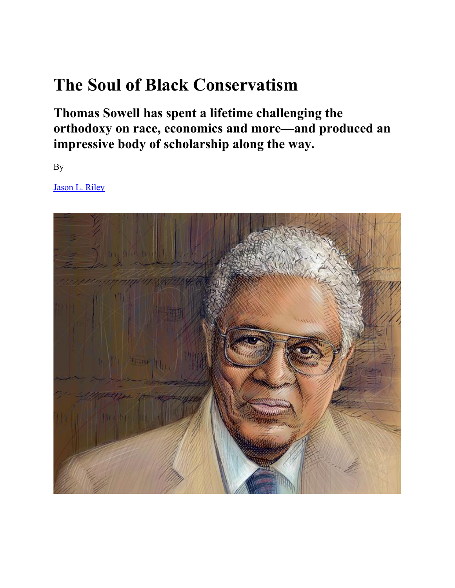## **The Soul of Black Conservatism**

**Thomas Sowell has spent a lifetime challenging the orthodoxy on race, economics and more—and produced an impressive body of scholarship along the way.** 

By

[Jason L. Riley](https://www.wsj.com/news/author/jason-l-riley) 

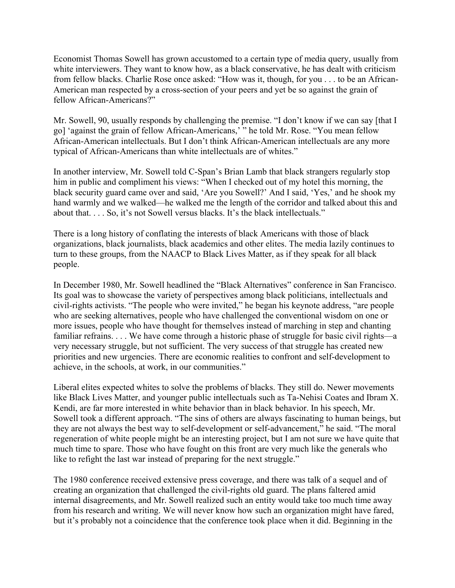Economist Thomas Sowell has grown accustomed to a certain type of media query, usually from white interviewers. They want to know how, as a black conservative, he has dealt with criticism from fellow blacks. Charlie Rose once asked: "How was it, though, for you . . . to be an African-American man respected by a cross-section of your peers and yet be so against the grain of fellow African-Americans?"

Mr. Sowell, 90, usually responds by challenging the premise. "I don't know if we can say [that I go] 'against the grain of fellow African-Americans,' " he told Mr. Rose. "You mean fellow African-American intellectuals. But I don't think African-American intellectuals are any more typical of African-Americans than white intellectuals are of whites."

In another interview, Mr. Sowell told C-Span's Brian Lamb that black strangers regularly stop him in public and compliment his views: "When I checked out of my hotel this morning, the black security guard came over and said, 'Are you Sowell?' And I said, 'Yes,' and he shook my hand warmly and we walked—he walked me the length of the corridor and talked about this and about that. . . . So, it's not Sowell versus blacks. It's the black intellectuals."

There is a long history of conflating the interests of black Americans with those of black organizations, black journalists, black academics and other elites. The media lazily continues to turn to these groups, from the NAACP to Black Lives Matter, as if they speak for all black people.

In December 1980, Mr. Sowell headlined the "Black Alternatives" conference in San Francisco. Its goal was to showcase the variety of perspectives among black politicians, intellectuals and civil-rights activists. "The people who were invited," he began his keynote address, "are people who are seeking alternatives, people who have challenged the conventional wisdom on one or more issues, people who have thought for themselves instead of marching in step and chanting familiar refrains. . . . We have come through a historic phase of struggle for basic civil rights—a very necessary struggle, but not sufficient. The very success of that struggle has created new priorities and new urgencies. There are economic realities to confront and self-development to achieve, in the schools, at work, in our communities."

Liberal elites expected whites to solve the problems of blacks. They still do. Newer movements like Black Lives Matter, and younger public intellectuals such as Ta-Nehisi Coates and Ibram X. Kendi, are far more interested in white behavior than in black behavior. In his speech, Mr. Sowell took a different approach. "The sins of others are always fascinating to human beings, but they are not always the best way to self-development or self-advancement," he said. "The moral regeneration of white people might be an interesting project, but I am not sure we have quite that much time to spare. Those who have fought on this front are very much like the generals who like to refight the last war instead of preparing for the next struggle."

The 1980 conference received extensive press coverage, and there was talk of a sequel and of creating an organization that challenged the civil-rights old guard. The plans faltered amid internal disagreements, and Mr. Sowell realized such an entity would take too much time away from his research and writing. We will never know how such an organization might have fared, but it's probably not a coincidence that the conference took place when it did. Beginning in the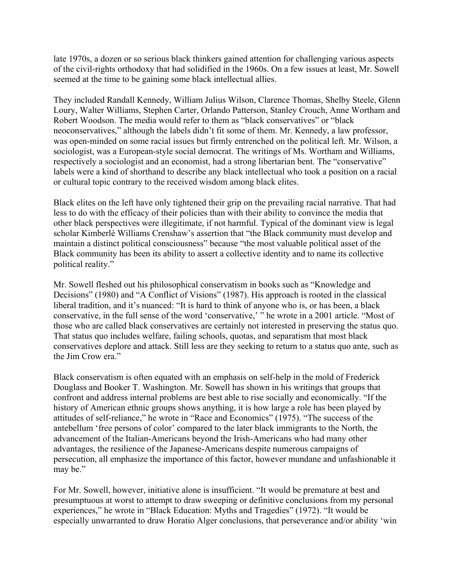late 1970s, a dozen or so serious black thinkers gained attention for challenging various aspects of the civil-rights orthodoxy that had solidified in the 1960s. On a few issues at least, Mr. Sowell seemed at the time to be gaining some black intellectual allies.

They included Randall Kennedy, William Julius Wilson, Clarence Thomas, Shelby Steele, Glenn Loury, Walter Williams, Stephen Carter, Orlando Patterson, Stanley Crouch, Anne Wortham and Robert Woodson. The media would refer to them as "black conservatives" or "black neoconservatives," although the labels didn't fit some of them. Mr. Kennedy, a law professor, was open-minded on some racial issues but firmly entrenched on the political left. Mr. Wilson, a sociologist, was a European-style social democrat. The writings of Ms. Wortham and Williams, respectively a sociologist and an economist, had a strong libertarian bent. The "conservative" labels were a kind of shorthand to describe any black intellectual who took a position on a racial or cultural topic contrary to the received wisdom among black elites.

Black elites on the left have only tightened their grip on the prevailing racial narrative. That had less to do with the efficacy of their policies than with their ability to convince the media that other black perspectives were illegitimate, if not harmful. Typical of the dominant view is legal scholar Kimberlé Williams Crenshaw's assertion that "the Black community must develop and maintain a distinct political consciousness" because "the most valuable political asset of the Black community has been its ability to assert a collective identity and to name its collective political reality."

Mr. Sowell fleshed out his philosophical conservatism in books such as "Knowledge and Decisions" (1980) and "A Conflict of Visions" (1987). His approach is rooted in the classical liberal tradition, and it's nuanced: "It is hard to think of anyone who is, or has been, a black conservative, in the full sense of the word 'conservative,' " he wrote in a 2001 article. "Most of those who are called black conservatives are certainly not interested in preserving the status quo. That status quo includes welfare, failing schools, quotas, and separatism that most black conservatives deplore and attack. Still less are they seeking to return to a status quo ante, such as the Jim Crow era."

Black conservatism is often equated with an emphasis on self-help in the mold of Frederick Douglass and Booker T. Washington. Mr. Sowell has shown in his writings that groups that confront and address internal problems are best able to rise socially and economically. "If the history of American ethnic groups shows anything, it is how large a role has been played by attitudes of self-reliance," he wrote in "Race and Economics" (1975). "The success of the antebellum 'free persons of color' compared to the later black immigrants to the North, the advancement of the Italian-Americans beyond the Irish-Americans who had many other advantages, the resilience of the Japanese-Americans despite numerous campaigns of persecution, all emphasize the importance of this factor, however mundane and unfashionable it may be."

For Mr. Sowell, however, initiative alone is insufficient. "It would be premature at best and presumptuous at worst to attempt to draw sweeping or definitive conclusions from my personal experiences," he wrote in "Black Education: Myths and Tragedies" (1972). "It would be especially unwarranted to draw Horatio Alger conclusions, that perseverance and/or ability 'win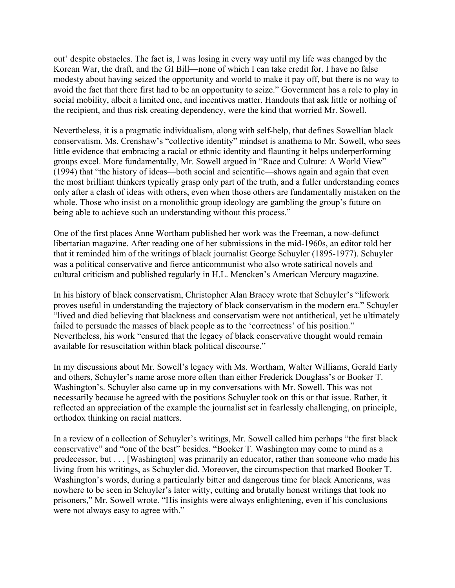out' despite obstacles. The fact is, I was losing in every way until my life was changed by the Korean War, the draft, and the GI Bill—none of which I can take credit for. I have no false modesty about having seized the opportunity and world to make it pay off, but there is no way to avoid the fact that there first had to be an opportunity to seize." Government has a role to play in social mobility, albeit a limited one, and incentives matter. Handouts that ask little or nothing of the recipient, and thus risk creating dependency, were the kind that worried Mr. Sowell.

Nevertheless, it is a pragmatic individualism, along with self-help, that defines Sowellian black conservatism. Ms. Crenshaw's "collective identity" mindset is anathema to Mr. Sowell, who sees little evidence that embracing a racial or ethnic identity and flaunting it helps underperforming groups excel. More fundamentally, Mr. Sowell argued in "Race and Culture: A World View" (1994) that "the history of ideas—both social and scientific—shows again and again that even the most brilliant thinkers typically grasp only part of the truth, and a fuller understanding comes only after a clash of ideas with others, even when those others are fundamentally mistaken on the whole. Those who insist on a monolithic group ideology are gambling the group's future on being able to achieve such an understanding without this process."

One of the first places Anne Wortham published her work was the Freeman, a now-defunct libertarian magazine. After reading one of her submissions in the mid-1960s, an editor told her that it reminded him of the writings of black journalist George Schuyler (1895-1977). Schuyler was a political conservative and fierce anticommunist who also wrote satirical novels and cultural criticism and published regularly in H.L. Mencken's American Mercury magazine.

In his history of black conservatism, Christopher Alan Bracey wrote that Schuyler's "lifework proves useful in understanding the trajectory of black conservatism in the modern era." Schuyler "lived and died believing that blackness and conservatism were not antithetical, yet he ultimately failed to persuade the masses of black people as to the 'correctness' of his position." Nevertheless, his work "ensured that the legacy of black conservative thought would remain available for resuscitation within black political discourse."

In my discussions about Mr. Sowell's legacy with Ms. Wortham, Walter Williams, Gerald Early and others, Schuyler's name arose more often than either Frederick Douglass's or Booker T. Washington's. Schuyler also came up in my conversations with Mr. Sowell. This was not necessarily because he agreed with the positions Schuyler took on this or that issue. Rather, it reflected an appreciation of the example the journalist set in fearlessly challenging, on principle, orthodox thinking on racial matters.

In a review of a collection of Schuyler's writings, Mr. Sowell called him perhaps "the first black conservative" and "one of the best" besides. "Booker T. Washington may come to mind as a predecessor, but . . . [Washington] was primarily an educator, rather than someone who made his living from his writings, as Schuyler did. Moreover, the circumspection that marked Booker T. Washington's words, during a particularly bitter and dangerous time for black Americans, was nowhere to be seen in Schuyler's later witty, cutting and brutally honest writings that took no prisoners," Mr. Sowell wrote. "His insights were always enlightening, even if his conclusions were not always easy to agree with."